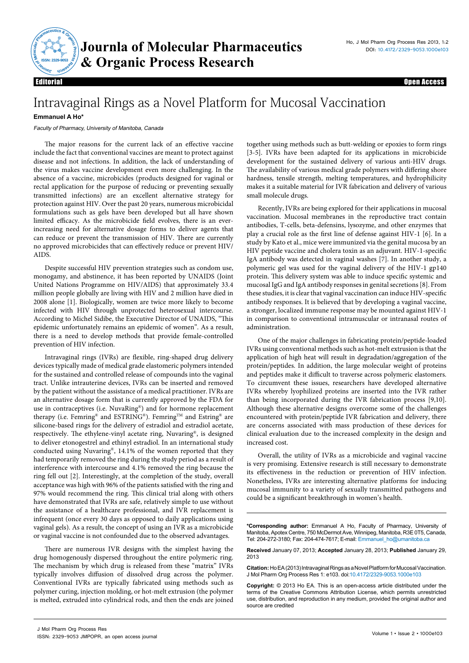

Editorial Open Access

## Intravaginal Rings as a Novel Platform for Mucosal Vaccination

## **Emmanuel A Ho\***

Faculty of Pharmacy, University of Manitoba, Canada

The major reasons for the current lack of an effective vaccine include the fact that conventional vaccines are meant to protect against disease and not infections. In addition, the lack of understanding of the virus makes vaccine development even more challenging. In the absence of a vaccine, microbicides (products designed for vaginal or rectal application for the purpose of reducing or preventing sexually transmitted infections) are an excellent alternative strategy for protection against HIV. Over the past 20 years, numerous microbicidal formulations such as gels have been developed but all have shown limited efficacy. As the microbicide field evolves, there is an everincreasing need for alternative dosage forms to deliver agents that can reduce or prevent the transmission of HIV. There are currently no approved microbicides that can effectively reduce or prevent HIV/ AIDS.

Despite successful HIV prevention strategies such as condom use, monogamy, and abstinence, it has been reported by UNAIDS (Joint United Nations Programme on HIV/AIDS) that approximately 33.4 million people globally are living with HIV and 2 million have died in 2008 alone [1]. Biologically, women are twice more likely to become infected with HIV through unprotected heterosexual intercourse. According to Michel Sidibe, the Executive Director of UNAIDS, "This epidemic unfortunately remains an epidemic of women". As a result, there is a need to develop methods that provide female-controlled prevention of HIV infection.

Intravaginal rings (IVRs) are flexible, ring-shaped drug delivery devices typically made of medical grade elastomeric polymers intended for the sustained and controlled release of compounds into the vaginal tract. Unlike intrauterine devices, IVRs can be inserted and removed by the patient without the assistance of a medical practitioner. IVRs are an alternative dosage form that is currently approved by the FDA for use in contraceptives (i.e. NuvaRing®) and for hormone replacement therapy (i.e. Femring® and ESTRING®). Femring™ and Estring® are silicone-based rings for the delivery of estradiol and estradiol acetate, respectively. The ethylene-vinyl acetate ring, Nuvaring®, is designed to deliver etonogestrel and ethinyl estradiol. In an international study conducted using Nuvaring®, 14.1% of the women reported that they had temporarily removed the ring during the study period as a result of interference with intercourse and 4.1% removed the ring because the ring fell out [2]. Interestingly, at the completion of the study, overall acceptance was high with 96% of the patients satisfied with the ring and 97% would recommend the ring. This clinical trial along with others have demonstrated that IVRs are safe, relatively simple to use without the assistance of a healthcare professional, and IVR replacement is infrequent (once every 30 days as opposed to daily applications using vaginal gels). As a result, the concept of using an IVR as a microbicide or vaginal vaccine is not confounded due to the observed advantages.

There are numerous IVR designs with the simplest having the drug homogenously dispersed throughout the entire polymeric ring. The mechanism by which drug is released from these "matrix" IVRs typically involves diffusion of dissolved drug across the polymer. Conventional IVRs are typically fabricated using methods such as polymer curing, injection molding, or hot-melt extrusion (the polymer is melted, extruded into cylindrical rods, and then the ends are joined together using methods such as butt-welding or epoxies to form rings [3-5]. IVRs have been adapted for its applications in microbicide development for the sustained delivery of various anti-HIV drugs. The availability of various medical grade polymers with differing shore hardness, tensile strength, melting temperatures, and hydrophilicity makes it a suitable material for IVR fabrication and delivery of various small molecule drugs.

Recently, IVRs are being explored for their applications in mucosal vaccination. Mucosal membranes in the reproductive tract contain antibodies, T-cells, beta-defensins, lysozyme, and other enzymes that play a crucial role as the first line of defense against HIV-1 [6]. In a study by Kato et al., mice were immunized via the genital mucosa by an HIV peptide vaccine and cholera toxin as an adjuvant. HIV-1-specific IgA antibody was detected in vaginal washes [7]. In another study, a polymeric gel was used for the vaginal delivery of the HIV-1 gp140 protein. This delivery system was able to induce specific systemic and mucosal IgG and IgA antibody responses in genital secretions [8]. From these studies, it is clear that vaginal vaccination can induce HIV-specific antibody responses. It is believed that by developing a vaginal vaccine, a stronger, localized immune response may be mounted against HIV-1 in comparison to conventional intramuscular or intranasal routes of administration.

One of the major challenges in fabricating protein/peptide-loaded IVRs using conventional methods such as hot-melt extrusion is that the application of high heat will result in degradation/aggregation of the protein/peptides. In addition, the large molecular weight of proteins and peptides make it difficult to traverse across polymeric elastomers. To circumvent these issues, researchers have developed alternative IVRs whereby lyophilized proteins are inserted into the IVR rather than being incorporated during the IVR fabrication process [9,10]. Although these alternative designs overcome some of the challenges encountered with protein/peptide IVR fabrication and delivery, there are concerns associated with mass production of these devices for clinical evaluation due to the increased complexity in the design and increased cost.

Overall, the utility of IVRs as a microbicide and vaginal vaccine is very promising. Extensive research is still necessary to demonstrate its effectiveness in the reduction or prevention of HIV infection. Nonetheless, IVRs are interesting alternative platforms for inducing mucosal immunity to a variety of sexually transmitted pathogens and could be a significant breakthrough in women's health.

**\*Corresponding author:** Emmanuel A Ho, Faculty of Pharmacy, University of Manitoba, Apotex Centre, 750 McDermot Ave, Winnipeg, Manitoba, R3E 0T5, Canada, Tel: 204-272-3180; Fax: 204-474-7617; E-mail: Emmanuel\_ho@umanitoba.ca

**Received** January 07, 2013; **Accepted** January 28, 2013; **Published** January 29, 2013

**Citation:** HoEA (2013) Intravaginal Rings as a Novel Platform for Mucosal Vaccination. J Mol Pharm Org Process Res 1: e103. doi:10.4172/2329-9053.1000e103

**Copyright:** © 2013 Ho EA. This is an open-access article distributed under the terms of the Creative Commons Attribution License, which permits unrestricted use, distribution, and reproduction in any medium, provided the original author and source are credited